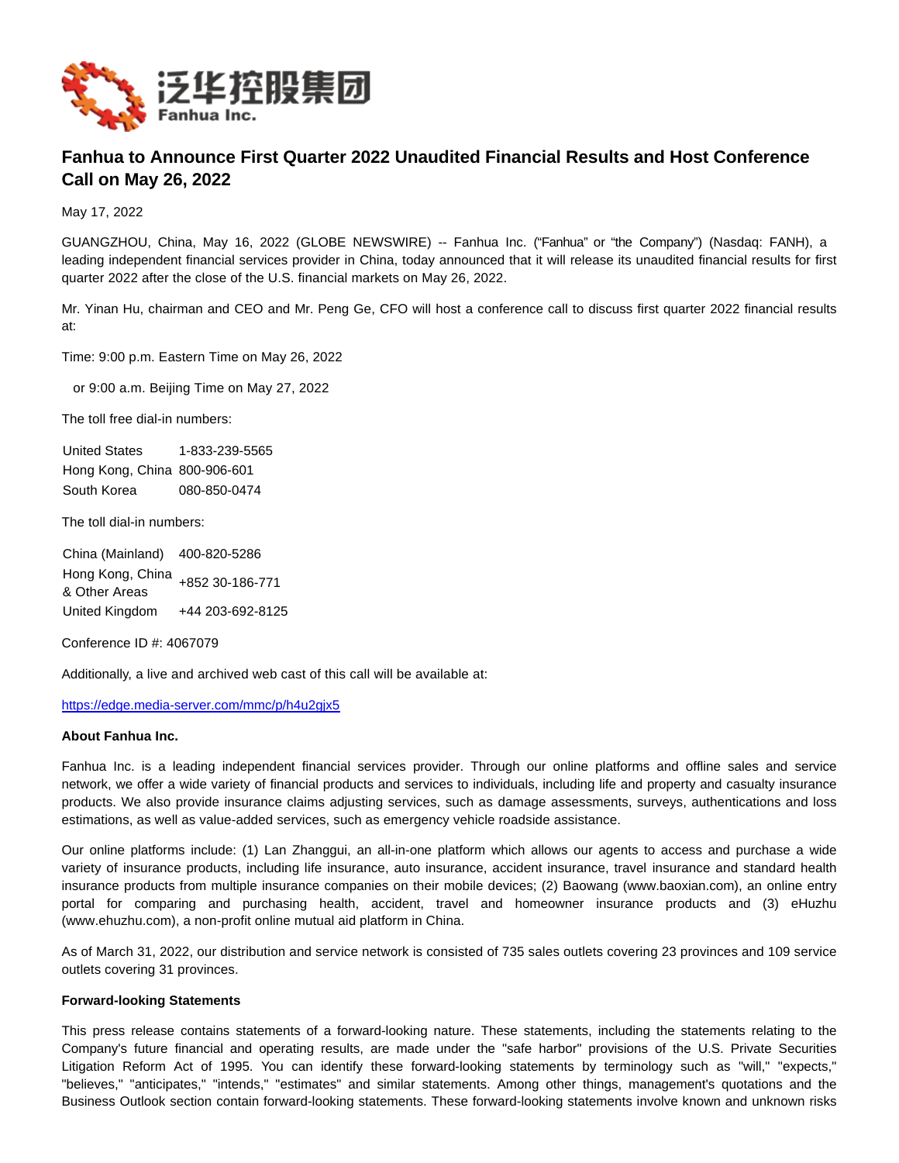

## **Fanhua to Announce First Quarter 2022 Unaudited Financial Results and Host Conference Call on May 26, 2022**

May 17, 2022

GUANGZHOU, China, May 16, 2022 (GLOBE NEWSWIRE) -- Fanhua Inc. ("Fanhua" or "the Company") (Nasdaq: FANH), a leading independent financial services provider in China, today announced that it will release its unaudited financial results for first quarter 2022 after the close of the U.S. financial markets on May 26, 2022.

Mr. Yinan Hu, chairman and CEO and Mr. Peng Ge, CFO will host a conference call to discuss first quarter 2022 financial results at:

Time: 9:00 p.m. Eastern Time on May 26, 2022

or 9:00 a.m. Beijing Time on May 27, 2022

The toll free dial-in numbers:

United States 1-833-239-5565 Hong Kong, China 800-906-601 South Korea 080-850-0474

The toll dial-in numbers:

China (Mainland) 400-820-5286 Hong Kong, China & Other Areas +852 30-186-771 United Kingdom +44 203-692-8125

Conference ID #: 4067079

Additionally, a live and archived web cast of this call will be available at:

[https://edge.media-server.com/mmc/p/h4u2gjx5](https://www.globenewswire.com/Tracker?data=hsIG2LbGq_n0SEcetrdQWS7KTrOElVff_FxQ3iQtA2xKgI94ibagUUcXRRYs_vnc-JKHLOaGpEaUkH5coJ0rIShSOtenXHCIYtPSB3_qBJUX1yUv7V3G-7a4mYeSizE-lSjeXmFE9KSlqBOlbcSx6A==)

## **About Fanhua Inc.**

Fanhua Inc. is a leading independent financial services provider. Through our online platforms and offline sales and service network, we offer a wide variety of financial products and services to individuals, including life and property and casualty insurance products. We also provide insurance claims adjusting services, such as damage assessments, surveys, authentications and loss estimations, as well as value-added services, such as emergency vehicle roadside assistance.

Our online platforms include: (1) Lan Zhanggui, an all-in-one platform which allows our agents to access and purchase a wide variety of insurance products, including life insurance, auto insurance, accident insurance, travel insurance and standard health insurance products from multiple insurance companies on their mobile devices; (2) Baowang (www.baoxian.com), an online entry portal for comparing and purchasing health, accident, travel and homeowner insurance products and (3) eHuzhu (www.ehuzhu.com), a non-profit online mutual aid platform in China.

As of March 31, 2022, our distribution and service network is consisted of 735 sales outlets covering 23 provinces and 109 service outlets covering 31 provinces.

## **Forward-looking Statements**

This press release contains statements of a forward-looking nature. These statements, including the statements relating to the Company's future financial and operating results, are made under the "safe harbor" provisions of the U.S. Private Securities Litigation Reform Act of 1995. You can identify these forward-looking statements by terminology such as "will," "expects," "believes," "anticipates," "intends," "estimates" and similar statements. Among other things, management's quotations and the Business Outlook section contain forward-looking statements. These forward-looking statements involve known and unknown risks